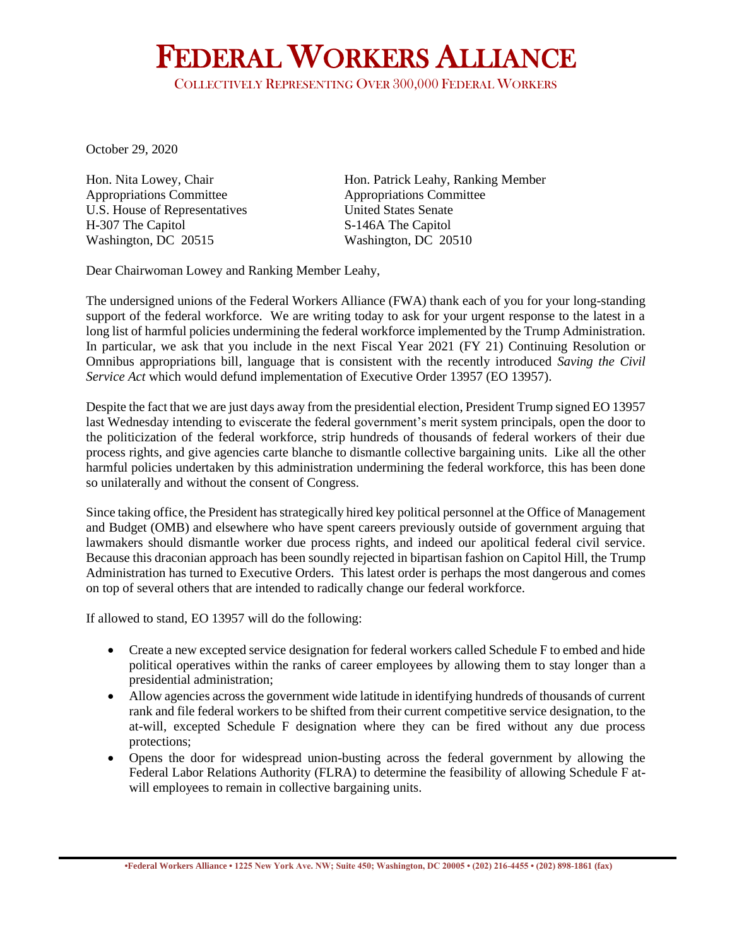## FEDERAL WORKERS ALLIANCE

COLLECTIVELY REPRESENTING OVER 300,000 FEDERAL WORKERS

October 29, 2020

Appropriations Committee Appropriations Committee U.S. House of Representatives United States Senate H-307 The Capitol S-146A The Capitol Washington, DC 20515 Washington, DC 20510

Hon. Nita Lowey, Chair Hon. Patrick Leahy, Ranking Member

Dear Chairwoman Lowey and Ranking Member Leahy,

The undersigned unions of the Federal Workers Alliance (FWA) thank each of you for your long-standing support of the federal workforce. We are writing today to ask for your urgent response to the latest in a long list of harmful policies undermining the federal workforce implemented by the Trump Administration. In particular, we ask that you include in the next Fiscal Year 2021 (FY 21) Continuing Resolution or Omnibus appropriations bill, language that is consistent with the recently introduced *Saving the Civil Service Act* which would defund implementation of Executive Order 13957 (EO 13957).

Despite the fact that we are just days away from the presidential election, President Trump signed EO 13957 last Wednesday intending to eviscerate the federal government's merit system principals, open the door to the politicization of the federal workforce, strip hundreds of thousands of federal workers of their due process rights, and give agencies carte blanche to dismantle collective bargaining units. Like all the other harmful policies undertaken by this administration undermining the federal workforce, this has been done so unilaterally and without the consent of Congress.

Since taking office, the President has strategically hired key political personnel at the Office of Management and Budget (OMB) and elsewhere who have spent careers previously outside of government arguing that lawmakers should dismantle worker due process rights, and indeed our apolitical federal civil service. Because this draconian approach has been soundly rejected in bipartisan fashion on Capitol Hill, the Trump Administration has turned to Executive Orders. This latest order is perhaps the most dangerous and comes on top of several others that are intended to radically change our federal workforce.

If allowed to stand, EO 13957 will do the following:

- Create a new excepted service designation for federal workers called Schedule F to embed and hide political operatives within the ranks of career employees by allowing them to stay longer than a presidential administration;
- Allow agencies across the government wide latitude in identifying hundreds of thousands of current rank and file federal workers to be shifted from their current competitive service designation, to the at-will, excepted Schedule F designation where they can be fired without any due process protections;
- Opens the door for widespread union-busting across the federal government by allowing the Federal Labor Relations Authority (FLRA) to determine the feasibility of allowing Schedule F atwill employees to remain in collective bargaining units.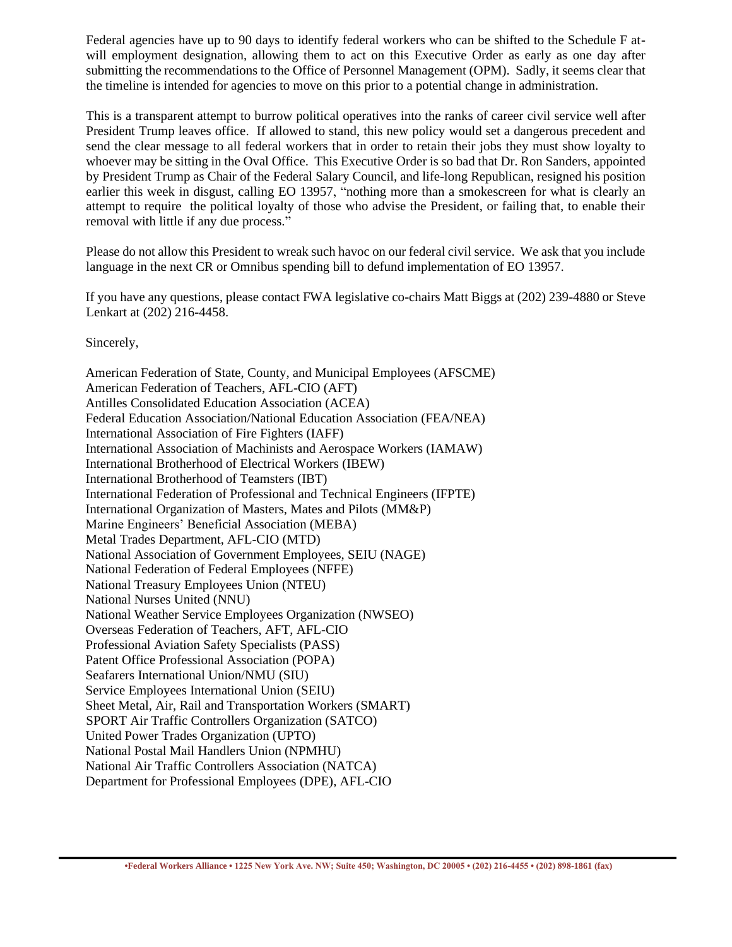Federal agencies have up to 90 days to identify federal workers who can be shifted to the Schedule F atwill employment designation, allowing them to act on this Executive Order as early as one day after submitting the recommendations to the Office of Personnel Management (OPM). Sadly, it seems clear that the timeline is intended for agencies to move on this prior to a potential change in administration.

This is a transparent attempt to burrow political operatives into the ranks of career civil service well after President Trump leaves office. If allowed to stand, this new policy would set a dangerous precedent and send the clear message to all federal workers that in order to retain their jobs they must show loyalty to whoever may be sitting in the Oval Office. This Executive Order is so bad that Dr. Ron Sanders, appointed by President Trump as Chair of the Federal Salary Council, and life-long Republican, resigned his position earlier this week in disgust, calling EO 13957, "nothing more than a smokescreen for what is clearly an attempt to require the political loyalty of those who advise the President, or failing that, to enable their removal with little if any due process."

Please do not allow this President to wreak such havoc on our federal civil service. We ask that you include language in the next CR or Omnibus spending bill to defund implementation of EO 13957.

If you have any questions, please contact FWA legislative co-chairs Matt Biggs at (202) 239-4880 or Steve Lenkart at (202) 216-4458.

Sincerely,

American Federation of State, County, and Municipal Employees (AFSCME) American Federation of Teachers, AFL-CIO (AFT) Antilles Consolidated Education Association (ACEA) Federal Education Association/National Education Association (FEA/NEA) International Association of Fire Fighters (IAFF) International Association of Machinists and Aerospace Workers (IAMAW) International Brotherhood of Electrical Workers (IBEW) International Brotherhood of Teamsters (IBT) International Federation of Professional and Technical Engineers (IFPTE) International Organization of Masters, Mates and Pilots (MM&P) Marine Engineers' Beneficial Association (MEBA) Metal Trades Department, AFL-CIO (MTD) National Association of Government Employees, SEIU (NAGE) National Federation of Federal Employees (NFFE) National Treasury Employees Union (NTEU) National Nurses United (NNU) National Weather Service Employees Organization (NWSEO) Overseas Federation of Teachers, AFT, AFL-CIO Professional Aviation Safety Specialists (PASS) Patent Office Professional Association (POPA) Seafarers International Union/NMU (SIU) Service Employees International Union (SEIU) Sheet Metal, Air, Rail and Transportation Workers (SMART) SPORT Air Traffic Controllers Organization (SATCO) United Power Trades Organization (UPTO) National Postal Mail Handlers Union (NPMHU) National Air Traffic Controllers Association (NATCA) Department for Professional Employees (DPE), AFL-CIO